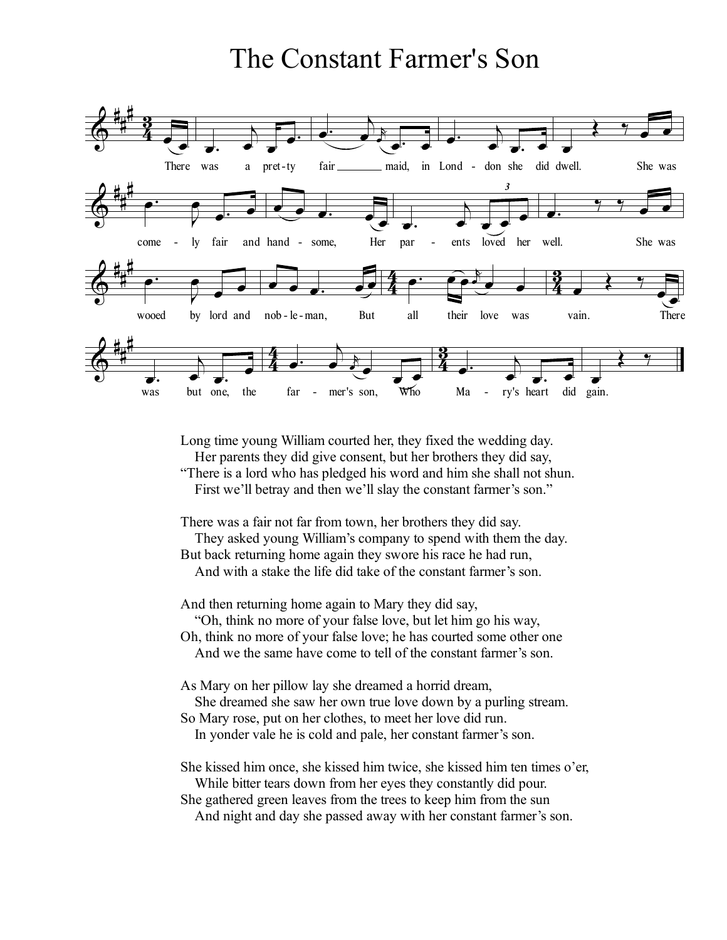## The Constant Farmer's Son



Long time young William courted her, they fixed the wedding day. Her parents they did give consent, but her brothers they did say, "There is a lord who has pledged his word and him she shall not shun.

First we'll betray and then we'll slay the constant farmer's son."

There was a fair not far from town, her brothers they did say.

They asked young William's company to spend with them the day. But back returning home again they swore his race he had run, And with a stake the life did take of the constant farmer's son.

And then returning home again to Mary they did say,

"Oh, think no more of your false love, but let him go his way,

Oh, think no more of your false love; he has courted some other one

And we the same have come to tell of the constant farmer's son.

As Mary on her pillow lay she dreamed a horrid dream,

She dreamed she saw her own true love down by a purling stream.

So Mary rose, put on her clothes, to meet her love did run.

In yonder vale he is cold and pale, her constant farmer's son.

She kissed him once, she kissed him twice, she kissed him ten times o'er, While bitter tears down from her eyes they constantly did pour.

She gathered green leaves from the trees to keep him from the sun And night and day she passed away with her constant farmer's son.